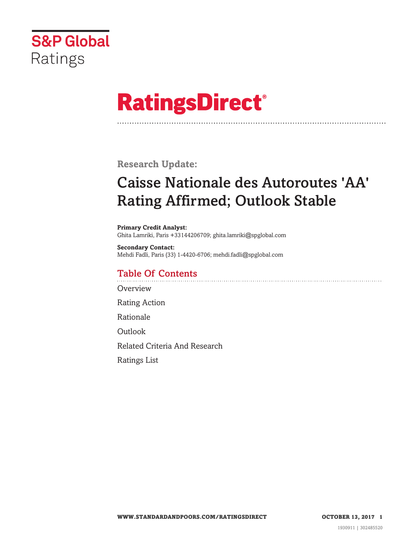

# **RatingsDirect®**

**Research Update:**

## **Caisse Nationale des Autoroutes 'AA' Rating Affirmed; Outlook Stable**

**Primary Credit Analyst:** Ghita Lamriki, Paris +33144206709; ghita.lamriki@spglobal.com

**Secondary Contact:** Mehdi Fadli, Paris (33) 1-4420-6706; mehdi.fadli@spglobal.com

### **Table Of Contents**

**[Overview](#page-1-0)** 

Rating [Action](#page-1-0)

[Rationale](#page-1-0)

[Outlook](#page-2-0)

Related Criteria And [Research](#page-3-0)

[Ratings](#page-3-0) List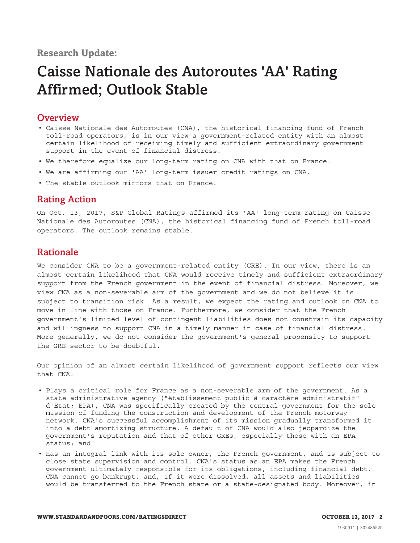#### <span id="page-1-0"></span>**Research Update:**

### **Caisse Nationale des Autoroutes 'AA' Rating Affirmed; Outlook Stable**

#### **Overview**

- Caisse Nationale des Autoroutes (CNA), the historical financing fund of French toll-road operators, is in our view a government-related entity with an almost certain likelihood of receiving timely and sufficient extraordinary government support in the event of financial distress.
- We therefore equalize our long-term rating on CNA with that on France.
- We are affirming our 'AA' long-term issuer credit ratings on CNA.
- The stable outlook mirrors that on France.

#### **Rating Action**

On Oct. 13, 2017, S&P Global Ratings affirmed its 'AA' long-term rating on Caisse Nationale des Autoroutes (CNA), the historical financing fund of French toll-road operators. The outlook remains stable.

#### **Rationale**

We consider CNA to be a government-related entity (GRE). In our view, there is an almost certain likelihood that CNA would receive timely and sufficient extraordinary support from the French government in the event of financial distress. Moreover, we view CNA as a non-severable arm of the government and we do not believe it is subject to transition risk. As a result, we expect the rating and outlook on CNA to move in line with those on France. Furthermore, we consider that the French government's limited level of contingent liabilities does not constrain its capacity and willingness to support CNA in a timely manner in case of financial distress. More generally, we do not consider the government's general propensity to support the GRE sector to be doubtful.

Our opinion of an almost certain likelihood of government support reflects our view that CNA:

- Plays a critical role for France as a non-severable arm of the government. As a state administrative agency ("établissement public à caractère administratif" d'Etat; EPA), CNA was specifically created by the central government for the sole mission of funding the construction and development of the French motorway network. CNA's successful accomplishment of its mission gradually transformed it into a debt amortizing structure. A default of CNA would also jeopardize the government's reputation and that of other GREs, especially those with an EPA status; and
- Has an integral link with its sole owner, the French government, and is subject to close state supervision and control. CNA's status as an EPA makes the French government ultimately responsible for its obligations, including financial debt. CNA cannot go bankrupt, and, if it were dissolved, all assets and liabilities would be transferred to the French state or a state-designated body. Moreover, in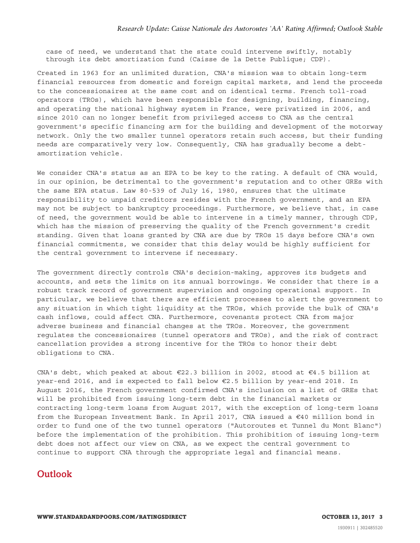<span id="page-2-0"></span>case of need, we understand that the state could intervene swiftly, notably through its debt amortization fund (Caisse de la Dette Publique; CDP).

Created in 1963 for an unlimited duration, CNA's mission was to obtain long-term financial resources from domestic and foreign capital markets, and lend the proceeds to the concessionaires at the same cost and on identical terms. French toll-road operators (TROs), which have been responsible for designing, building, financing, and operating the national highway system in France, were privatized in 2006, and since 2010 can no longer benefit from privileged access to CNA as the central government's specific financing arm for the building and development of the motorway network. Only the two smaller tunnel operators retain such access, but their funding needs are comparatively very low. Consequently, CNA has gradually become a debtamortization vehicle.

We consider CNA's status as an EPA to be key to the rating. A default of CNA would, in our opinion, be detrimental to the government's reputation and to other GREs with the same EPA status. Law 80-539 of July 16, 1980, ensures that the ultimate responsibility to unpaid creditors resides with the French government, and an EPA may not be subject to bankruptcy proceedings. Furthermore, we believe that, in case of need, the government would be able to intervene in a timely manner, through CDP, which has the mission of preserving the quality of the French government's credit standing. Given that loans granted by CNA are due by TROs 15 days before CNA's own financial commitments, we consider that this delay would be highly sufficient for the central government to intervene if necessary.

The government directly controls CNA's decision-making, approves its budgets and accounts, and sets the limits on its annual borrowings. We consider that there is a robust track record of government supervision and ongoing operational support. In particular, we believe that there are efficient processes to alert the government to any situation in which tight liquidity at the TROs, which provide the bulk of CNA's cash inflows, could affect CNA. Furthermore, covenants protect CNA from major adverse business and financial changes at the TROs. Moreover, the government regulates the concessionaires (tunnel operators and TROs), and the risk of contract cancellation provides a strong incentive for the TROs to honor their debt obligations to CNA.

CNA's debt, which peaked at about €22.3 billion in 2002, stood at €4.5 billion at year-end 2016, and is expected to fall below €2.5 billion by year-end 2018. In August 2016, the French government confirmed CNA's inclusion on a list of GREs that will be prohibited from issuing long-term debt in the financial markets or contracting long-term loans from August 2017, with the exception of long-term loans from the European Investment Bank. In April 2017, CNA issued a €40 million bond in order to fund one of the two tunnel operators ("Autoroutes et Tunnel du Mont Blanc") before the implementation of the prohibition. This prohibition of issuing long-term debt does not affect our view on CNA, as we expect the central government to continue to support CNA through the appropriate legal and financial means.

#### **Outlook**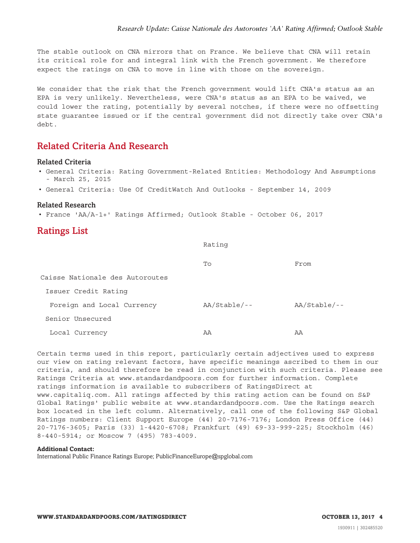<span id="page-3-0"></span>The stable outlook on CNA mirrors that on France. We believe that CNA will retain its critical role for and integral link with the French government. We therefore expect the ratings on CNA to move in line with those on the sovereign.

We consider that the risk that the French government would lift CNA's status as an EPA is very unlikely. Nevertheless, were CNA's status as an EPA to be waived, we could lower the rating, potentially by several notches, if there were no offsetting state guarantee issued or if the central government did not directly take over CNA's debt.

#### **Related Criteria And Research**

#### **Related Criteria**

- General Criteria: Rating Government-Related Entities: Methodology And Assumptions - March 25, 2015
- General Criteria: Use Of CreditWatch And Outlooks September 14, 2009

#### **Related Research**

• France 'AA/A-1+' Ratings Affirmed; Outlook Stable - October 06, 2017

#### **Ratings List**

Rating

|                                 | To             | From           |
|---------------------------------|----------------|----------------|
| Caisse Nationale des Autoroutes |                |                |
| Issuer Credit Rating            |                |                |
| Foreign and Local Currency      | $AA/Stable/--$ | $AA/Stable/--$ |
| Senior Unsecured                |                |                |
| Local Currency                  | ΆA             | ΆA             |

Certain terms used in this report, particularly certain adjectives used to express our view on rating relevant factors, have specific meanings ascribed to them in our criteria, and should therefore be read in conjunction with such criteria. Please see Ratings Criteria at www.standardandpoors.com for further information. Complete ratings information is available to subscribers of RatingsDirect at www.capitaliq.com. All ratings affected by this rating action can be found on S&P Global Ratings' public website at www.standardandpoors.com. Use the Ratings search box located in the left column. Alternatively, call one of the following S&P Global Ratings numbers: Client Support Europe (44) 20-7176-7176; London Press Office (44) 20-7176-3605; Paris (33) 1-4420-6708; Frankfurt (49) 69-33-999-225; Stockholm (46) 8-440-5914; or Moscow 7 (495) 783-4009.

#### **Additional Contact:**

International Public Finance Ratings Europe; PublicFinanceEurope@spglobal.com